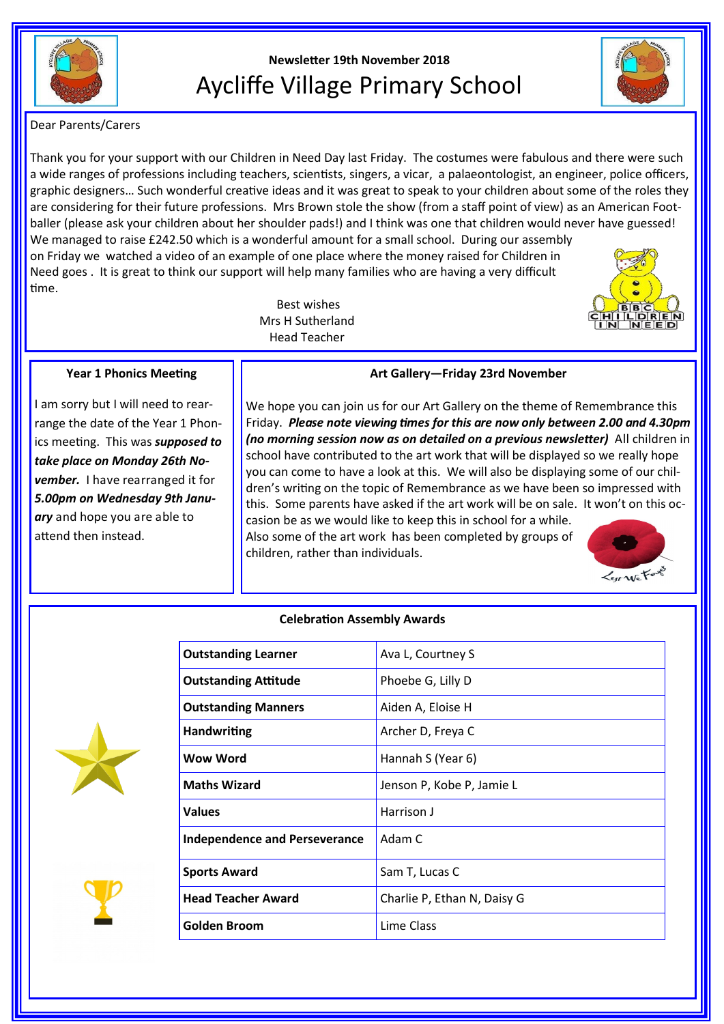

# **Newsletter 19th November 2018** Aycliffe Village Primary School



Dear Parents/Carers

Thank you for your support with our Children in Need Day last Friday. The costumes were fabulous and there were such a wide ranges of professions including teachers, scientists, singers, a vicar, a palaeontologist, an engineer, police officers, graphic designers… Such wonderful creative ideas and it was great to speak to your children about some of the roles they are considering for their future professions. Mrs Brown stole the show (from a staff point of view) as an American Footballer (please ask your children about her shoulder pads!) and I think was one that children would never have guessed! We managed to raise £242.50 which is a wonderful amount for a small school. During our assembly on Friday we watched a video of an example of one place where the money raised for Children in Need goes . It is great to think our support will help many families who are having a very difficult time.

> Best wishes Mrs H Sutherland Head Teacher



# **Year 1 Phonics Meeting**

I am sorry but I will need to rearrange the date of the Year 1 Phonics meeting. This was *supposed to take place on Monday 26th November.* I have rearranged it for *5.00pm on Wednesday 9th January* and hope you are able to attend then instead.

# **Art Gallery—Friday 23rd November**

We hope you can join us for our Art Gallery on the theme of Remembrance this Friday. *Please note viewing times for this are now only between 2.00 and 4.30pm (no morning session now as on detailed on a previous newsletter)* All children in school have contributed to the art work that will be displayed so we really hope you can come to have a look at this. We will also be displaying some of our children's writing on the topic of Remembrance as we have been so impressed with this. Some parents have asked if the art work will be on sale. It won't on this occasion be as we would like to keep this in school for a while.

Also some of the art work has been completed by groups of children, rather than individuals.



# **Celebration Assembly Awards**





| <b>Outstanding Learner</b>           | Ava L, Courtney S           |
|--------------------------------------|-----------------------------|
| <b>Outstanding Attitude</b>          | Phoebe G, Lilly D           |
| <b>Outstanding Manners</b>           | Aiden A, Eloise H           |
| <b>Handwriting</b>                   | Archer D, Freya C           |
| <b>Wow Word</b>                      | Hannah S (Year 6)           |
| <b>Maths Wizard</b>                  | Jenson P, Kobe P, Jamie L   |
| <b>Values</b>                        | Harrison J                  |
| <b>Independence and Perseverance</b> | Adam C                      |
| <b>Sports Award</b>                  | Sam T, Lucas C              |
| <b>Head Teacher Award</b>            | Charlie P, Ethan N, Daisy G |
| <b>Golden Broom</b>                  | Lime Class                  |
|                                      |                             |